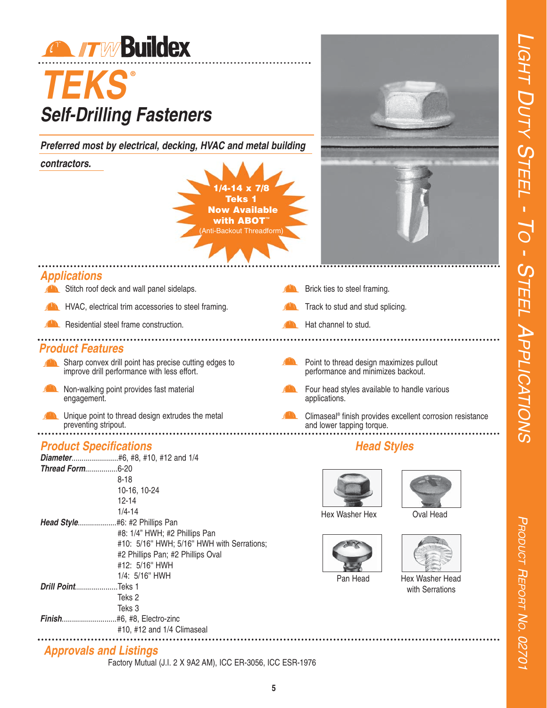PRODUCT

R<sub>EPORT</sub>

NO. 02701



# *TEKS* **®** *Self-Drilling Fasteners*

*Preferred most by electrical, decking, HVAC and metal building*

#### *contractors.*





#### *Applications*

|                         | Stitch roof deck and wall panel sidelaps.                                                                                                                                                                                   | Brick ties to steel framing.                                                   |                                                           |
|-------------------------|-----------------------------------------------------------------------------------------------------------------------------------------------------------------------------------------------------------------------------|--------------------------------------------------------------------------------|-----------------------------------------------------------|
|                         | HVAC, electrical trim accessories to steel framing.                                                                                                                                                                         | Track to stud and stud splicing.                                               |                                                           |
|                         | Residential steel frame construction.                                                                                                                                                                                       | Hat channel to stud.                                                           |                                                           |
| <b>Product Features</b> |                                                                                                                                                                                                                             |                                                                                |                                                           |
|                         | Sharp convex drill point has precise cutting edges to<br>improve drill performance with less effort.                                                                                                                        | Point to thread design maximizes pullout<br>performance and minimizes backout. |                                                           |
| engagement.             | Non-walking point provides fast material                                                                                                                                                                                    | Four head styles available to handle various<br>applications.                  |                                                           |
|                         | Unique point to thread design extrudes the metal<br>preventing stripout.                                                                                                                                                    | and lower tapping torque.                                                      | Climaseal® finish provides excellent corrosion resistance |
|                         | <b>Product Specifications</b>                                                                                                                                                                                               | <b>Head Styles</b>                                                             |                                                           |
| Thread Form6-20         | $8 - 18$<br>10-16, 10-24<br>$12 - 14$<br>$1/4 - 14$<br>Head Style #6: #2 Phillips Pan<br>#8: 1/4" HWH; #2 Phillips Pan<br>#10: 5/16" HWH; 5/16" HWH with Serrations;<br>#2 Phillips Pan; #2 Phillips Oval<br>#12: 5/16" HWH | Hex Washer Hex                                                                 | Oval Head                                                 |

*Approvals and Listings*

Factory Mutual (J.I. 2 X 9A2 AM), ICC ER-3056, ICC ESR-1976

#10, #12 and 1/4 Climaseal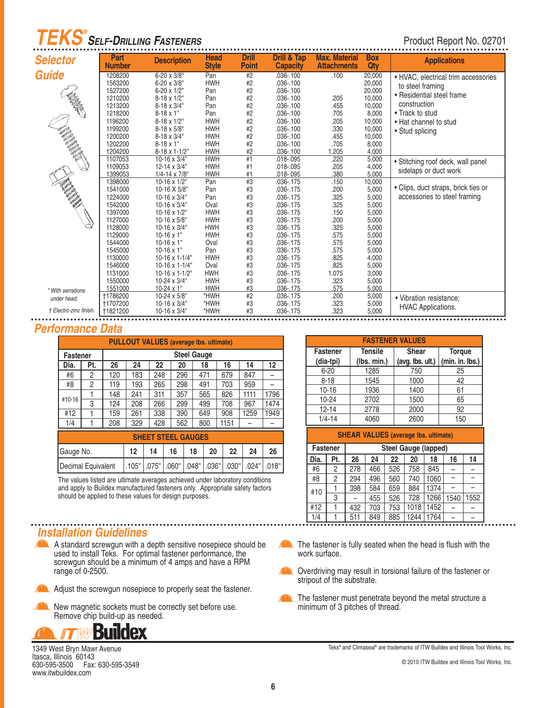## *TEKS SELF-DRILLING FASTENERS ®*

#### Product Report No. 02701

|                                                                                                                      | Part            |                         | <b>Head</b>  | <b>Drill</b> | <b>Drill &amp; Tap</b> | <b>Max. Material</b> | <b>Box</b> |                                     |
|----------------------------------------------------------------------------------------------------------------------|-----------------|-------------------------|--------------|--------------|------------------------|----------------------|------------|-------------------------------------|
| <b>Selector</b>                                                                                                      | <b>Number</b>   | <b>Description</b>      | <b>Style</b> | <b>Point</b> | <b>Capacity</b>        | <b>Attachments</b>   | Qty        | <b>Applications</b>                 |
| <b>Guide</b>                                                                                                         | 1208200         | 6-20 x 3/8"             | Pan          | #2           | $.036 - .100$          | .100                 | 20,000     | • HVAC, electrical trim accessories |
|                                                                                                                      | 1563200         | 6-20 x 3/8"             | <b>HWH</b>   | $\#2$        | $.036 - .100$          |                      | 20,000     | to steel framing                    |
|                                                                                                                      | 1527200         | 6-20 x 1/2"             | Pan          | #2           | $.036 - .100$          |                      | 20,000     | • Residential steel frame           |
|                                                                                                                      | 1210200         | 8-18 x 1/2"             | Pan          | #2           | $.036 - .100$          | .205                 | 10,000     |                                     |
|                                                                                                                      | 1213200         | 8-18 x 3/4"             | Pan          | #2           | $.036 - .100$          | .455                 | 10,000     | construction                        |
|                                                                                                                      | 1218200         | $8 - 18 \times 1$ "     | Pan          | #2           | $.036 - .100$          | .705                 | 8,000      | • Track to stud                     |
|                                                                                                                      | 1196200         | 8-18 x 1/2"             | <b>HWH</b>   | #2           | $.036 - .100$          | .205                 | 10,000     | . Hat channel to stud               |
|                                                                                                                      | 1199200         | 8-18 x 5/8"             | <b>HWH</b>   | #2           | $.036 - .100$          | .330                 | 10,000     | • Stud splicing                     |
|                                                                                                                      | 1200200         | 8-18 x 3/4"             | <b>HWH</b>   | #2           | $.036 - .100$          | .455                 | 10,000     |                                     |
|                                                                                                                      | 1202200         | $8-18 \times 1$ "       | <b>HWH</b>   | #2           | $.036 - .100$          | .705                 | 8,000      |                                     |
| <b>Contractor Contractor Contractor Contractor Contractor Contractor Contractor Contractor Contractor Contractor</b> | 1204200         | 8-18 x 1-1/2"           | <b>HWH</b>   | #2           | $.036 - .100$          | 1.205                | 4.000      |                                     |
|                                                                                                                      | 1107053         | $10-16 \times 3/4$ "    | <b>HWH</b>   | #1           | $.018 - .095$          | .220                 | 5,000      | · Stitching roof deck, wall panel   |
|                                                                                                                      | 1109053         | 12-14 x 3/4"            | <b>HWH</b>   | #1           | .018-.095              | .205                 | 4,000      | sidelaps or duct work               |
|                                                                                                                      | 1399053         | $1/4 - 14 \times 7/8$ " | <b>HWH</b>   | #1           | .018-.095              | .380                 | 5,000      |                                     |
| <b>MARTIN</b>                                                                                                        | 1398000         | 10-16 x 1/2"            | Pan          | #3           | $.036 - .175$          | .150                 | 10,000     |                                     |
|                                                                                                                      | 1541000         | 10-16 X 5/8"            | Pan          | #3           | .036-.175              | .200                 | 5,000      | • Clips, duct straps, brick ties or |
|                                                                                                                      | 1224000         | 10-16 x 3/4"            | Pan          | #3           | $.036 - .175$          | .325                 | 5,000      | accessories to steel framing        |
|                                                                                                                      | 1542000         | 10-16 x 3/4"            | Oval         | #3           | .036-.175              | .325                 | 5,000      |                                     |
|                                                                                                                      | 1397000         | $10-16 \times 1/2$ "    | <b>HWH</b>   | #3           | $.036 - .175$          | .150                 | 5,000      |                                     |
|                                                                                                                      | 1127000         | $10-16 \times 5/8$ "    | <b>HWH</b>   | #3           | $.036 - .175$          | .200                 | 5,000      |                                     |
|                                                                                                                      | 1128000         | 10-16 x 3/4"            | <b>HWH</b>   | #3           | .036-.175              | .325                 | 5,000      |                                     |
|                                                                                                                      | 1129000         | $10-16 \times 1$ "      | <b>HWH</b>   | #3           | .036-.175              | .575                 | 5,000      |                                     |
|                                                                                                                      | 1544000         | $10 - 16 \times 1$ "    | Oval         | #3           | .036-.175              | .575                 | 5,000      |                                     |
|                                                                                                                      | 1545000         | $10-16 \times 1$ "      | Pan          | #3           | .036-.175              | .575                 | 5,000      |                                     |
|                                                                                                                      | 1130000         | $10-16 \times 1-1/4$ "  | <b>HWH</b>   | #3           | $.036 - .175$          | .825                 | 4,000      |                                     |
|                                                                                                                      | 1546000         | $10-16 \times 1-1/4$ "  | Oval         | #3           | .036-.175              | .825                 | 5,000      |                                     |
|                                                                                                                      | 1131000         | $10-16 \times 1-1/2$ "  | <b>HWH</b>   | #3           | .036-.175              | 1.075                | 3,000      |                                     |
|                                                                                                                      | 1550000         | 10-24 x 3/4"            | <b>HWH</b>   | #3           | .036-.175              | .323                 | 5,000      |                                     |
| * With serrations                                                                                                    | 1551000         | $10-24 \times 1$ "      | <b>HWH</b>   | #3           | .036-.175              | .575                 | 5,000      |                                     |
| under head.                                                                                                          | <b>†1786200</b> | 10-24 x 5/8"            | *HWH         | #2           | .036-.175              | .200                 | 5,000      | • Vibration resistance:             |
| † Electro-zinc finish.                                                                                               | <b>+1707200</b> | 10-16 x 3/4"            | *HWH         | #3           | .036-.175              | .323                 | 5,000      | <b>HVAC Applications.</b>           |
|                                                                                                                      | <b>†1821200</b> | 10-16 x 3/4"            | *HWH         | #3           | .036-.175              | .323                 | 5,000      |                                     |

#### *Performance Data*

|                 | <b>PULLOUT VALUES (average lbs. ultimate)</b> |     |                                        |     |     |                     |      |      |      |  |  |  |  |
|-----------------|-----------------------------------------------|-----|----------------------------------------|-----|-----|---------------------|------|------|------|--|--|--|--|
| <b>Fastener</b> |                                               |     |                                        |     |     | <b>Steel Gauge</b>  |      |      |      |  |  |  |  |
| Dia.            | Pt.                                           | 26  | 22<br>12<br>24<br>20<br>18<br>16<br>14 |     |     |                     |      |      |      |  |  |  |  |
| #6              | 2                                             | 120 | 183                                    | 248 | 296 | 471                 | 679  | 847  |      |  |  |  |  |
| #8              | 2                                             | 119 | 193                                    | 265 | 298 | 491                 | 703  | 959  |      |  |  |  |  |
|                 |                                               | 148 | 241                                    | 311 | 357 | 565                 | 826  | 1111 | 1796 |  |  |  |  |
| #10-16          | 3                                             | 124 | 208                                    | 266 | 299 | 499                 | 708  | 967  | 1474 |  |  |  |  |
| #12             |                                               | 159 | 261                                    | 338 | 390 | 649                 | 908  | 1259 | 1949 |  |  |  |  |
| 1/4             |                                               | 208 | 329                                    | 428 | 562 | 800                 | 1151 |      |      |  |  |  |  |
|                 |                                               |     | ------                                 |     |     | $\bullet$ $\bullet$ |      |      |      |  |  |  |  |

| <b>SHEET STEEL GAUGES</b>                                                  |  |    |  |    |    |    |  |    |  |  |  |
|----------------------------------------------------------------------------|--|----|--|----|----|----|--|----|--|--|--|
| Gauge No.                                                                  |  | 14 |  | 18 | 20 | 22 |  | 26 |  |  |  |
| Decimal Equivalent   105"   075"   060"   048"   036"   030"   024"   018" |  |    |  |    |    |    |  |    |  |  |  |

The values listed are ultimate averages achieved under laboratory conditions and apply to Buildex manufactured fasteners only. Appropriate safety factors should be applied to these values for design purposes.

#### *Installation Guidelines*

- A Standard screwgun with a depth sensitive nosepiece should be used to install Teks. For optimal fastener performance, the screwgun should be a minimum of 4 amps and have a RPM range of 0-2500.
	- Adjust the screwgun nosepiece to properly seat the fastener.
- New magnetic sockets must be correctly set before use. Remove chip build-up as needed.



1349 West Bryn Mawr Avenue Itasca, Illinois<sup>60143</sup> 630-595-3500 Fax: 630-595-3549 www.itwbuildex.com

| <b>FASTENER VALUES</b> |                |                  |                 |  |  |  |  |  |  |  |  |
|------------------------|----------------|------------------|-----------------|--|--|--|--|--|--|--|--|
| <b>Fastener</b>        | <b>Tensile</b> | <b>Shear</b>     | <b>Torque</b>   |  |  |  |  |  |  |  |  |
| (dia-tpi)              | (lbs. min.)    | (avg. lbs. ult.) | (min. in. lbs.) |  |  |  |  |  |  |  |  |
| $6 - 20$               | 1285           | 750              | 25              |  |  |  |  |  |  |  |  |
| $8 - 18$               | 1545           | 1000             | 42              |  |  |  |  |  |  |  |  |
| $10 - 16$              | 1936           | 1400             | 61              |  |  |  |  |  |  |  |  |
| $10 - 24$              | 2702           | 1500             | 65              |  |  |  |  |  |  |  |  |
| $12 - 14$              | 2778           | 2000             | 92              |  |  |  |  |  |  |  |  |
| $1/4 - 14$             | 4060           | 2600             | 150             |  |  |  |  |  |  |  |  |

|                 | <b>SHEAR VALUES (average lbs. ultimate)</b> |                             |                                  |     |      |      |      |      |  |  |  |  |  |
|-----------------|---------------------------------------------|-----------------------------|----------------------------------|-----|------|------|------|------|--|--|--|--|--|
| <b>Fastener</b> |                                             | <b>Steel Gauge (lapped)</b> |                                  |     |      |      |      |      |  |  |  |  |  |
| Dia.            | Pt.                                         | 26                          | 22<br>20<br>14<br>24<br>18<br>16 |     |      |      |      |      |  |  |  |  |  |
| #6              | 2                                           | 278                         | 466                              | 526 | 758  | 845  |      |      |  |  |  |  |  |
| #8              | 2                                           | 294                         | 496                              | 560 | 740  | 1060 |      |      |  |  |  |  |  |
| #10             |                                             | 398                         | 584                              | 659 | 884  | 1374 |      |      |  |  |  |  |  |
|                 | 3                                           |                             | 455                              | 526 | 728  | 1266 | 1540 | 1552 |  |  |  |  |  |
| #12             |                                             | 432                         | 703                              | 753 | 1018 | 1452 |      |      |  |  |  |  |  |
| 1/4             |                                             | 511                         | 849                              | 885 | 1244 | 1764 |      |      |  |  |  |  |  |

- The fastener is fully seated when the head is flush with the work surface.
- $\sqrt{1}$ Overdriving may result in torsional failure of the fastener or stripout of the substrate.
- The fastener must penetrate beyond the metal structure a minimum of 3 pitches of thread.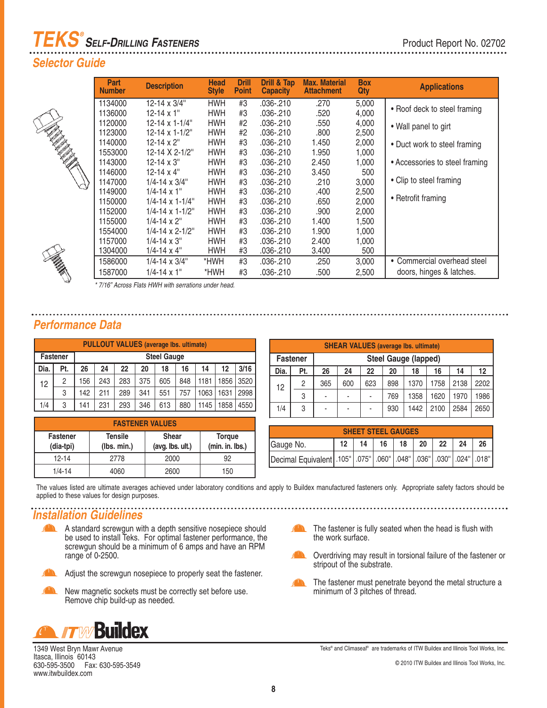# *TEKS SELF-DRILLING FASTENERS ®*

#### *Selector Guide*

|   | Part<br><b>Number</b> | <b>Description</b>          | <b>Head</b><br><b>Style</b> | <b>Drill</b><br><b>Point</b> | <b>Drill &amp; Tap</b><br><b>Capacity</b> | <b>Max. Material</b><br><b>Attachment</b> | <b>Box</b><br>Qty | <b>Applications</b>            |
|---|-----------------------|-----------------------------|-----------------------------|------------------------------|-------------------------------------------|-------------------------------------------|-------------------|--------------------------------|
|   | 1134000               | 12-14 $\times$ 3/4"         | HWH                         | #3                           | .036-.210                                 | .270                                      | 5,000             | • Roof deck to steel framing   |
|   | 1136000               | $12 - 14 \times 1$ "        | <b>HWH</b>                  | #3                           | .036-.210                                 | .520                                      | 4,000             |                                |
|   | 1120000               | $12 - 14 \times 1 - 1/4$ "  | <b>HWH</b>                  | #2                           | .036-.210                                 | .550                                      | 4,000             | • Wall panel to girt           |
|   | 1123000               | $12 - 14 \times 1 - 1/2$ "  | <b>HWH</b>                  | #2                           | .036-.210                                 | .800                                      | 2,500             |                                |
|   | 1140000               | $12 - 14 \times 2$ "        | <b>HWH</b>                  | #3                           | .036-.210                                 | 1.450                                     | 2,000             | • Duct work to steel framing   |
|   | 1553000               | 12-14 X 2-1/2"              | <b>HWH</b>                  | #3                           | .036-.210                                 | 1.950                                     | 1,000             |                                |
|   | 1143000               | $12 - 14 \times 3$ "        | <b>HWH</b>                  | #3                           | .036-.210                                 | 2.450                                     | 1,000             | • Accessories to steel framing |
|   | 1146000               | $12 - 14 \times 4$ "        | <b>HWH</b>                  | #3                           | .036-.210                                 | 3.450                                     | 500               |                                |
| N | 1147000               | $1/4 - 14 \times 3/4$ "     | <b>HWH</b>                  | #3                           | .036-.210                                 | .210                                      | 3,000             | • Clip to steel framing        |
|   | 1149000               | $1/4 - 14 \times 1$ "       | <b>HWH</b>                  | #3                           | .036-.210                                 | .400                                      | 2,500             |                                |
|   | 1150000               | $1/4 - 14 \times 1 - 1/4$ " | <b>HWH</b>                  | #3                           | $.036 - .210$                             | .650                                      | 2,000             | • Retrofit framing             |
|   | 1152000               | $1/4 - 14 \times 1 - 1/2$ " | <b>HWH</b>                  | #3                           | .036-.210                                 | .900                                      | 2,000             |                                |
|   | 1155000               | $1/4 - 14 \times 2$ "       | <b>HWH</b>                  | #3                           | .036-.210                                 | 1.400                                     | 1,500             |                                |
|   | 1554000               | $1/4 - 14 \times 2 - 1/2$ " | <b>HWH</b>                  | #3                           | .036-.210                                 | 1.900                                     | 1,000             |                                |
|   | 1157000               | $1/4 - 14 \times 3$ "       | <b>HWH</b>                  | #3                           | .036-.210                                 | 2.400                                     | 1.000             |                                |
|   | 1304000               | $1/4 - 14 \times 4$ "       | <b>HWH</b>                  | #3                           | .036-.210                                 | 3.400                                     | 500               |                                |
|   | 1586000               | $1/4 - 14 \times 3/4$ "     | *HWH                        | #3                           | .036-.210                                 | .250                                      | 3,000             | • Commercial overhead steel    |
|   | 1587000               | $1/4 - 14 \times 1$ "       | *HWH                        | #3                           | .036-.210                                 | .500                                      | 2,500             | doors, hinges & latches.       |

\* 7/16" Across Flats HWH with serrations under head.

#### *Performance Data*

|      | <b>PULLOUT VALUES (average lbs. ultimate)</b> |     |                    |     |     |     |     |      |      |      |  |  |  |
|------|-----------------------------------------------|-----|--------------------|-----|-----|-----|-----|------|------|------|--|--|--|
|      | <b>Fastener</b>                               |     | <b>Steel Gauge</b> |     |     |     |     |      |      |      |  |  |  |
| Dia. | Pt.                                           | 26  | 24                 | 22  | 20  | 18  | 16  | 14   | 12   | 3/16 |  |  |  |
| 12   | 2                                             | 156 | 243                | 283 | 375 | 605 | 848 | 1181 | 1856 | 3520 |  |  |  |
|      | 3                                             | 142 | 211                | 289 | 341 | 551 | 757 | 1063 | 1631 | 2998 |  |  |  |
| 1/4  | 3                                             | 141 | 231                | 293 | 346 | 613 | 880 | 1145 | 1858 | 4550 |  |  |  |

|                              | <b>FASTENER VALUES</b>        |                                  |                                  |  |  |  |  |  |  |  |  |
|------------------------------|-------------------------------|----------------------------------|----------------------------------|--|--|--|--|--|--|--|--|
| <b>Fastener</b><br>(dia-tpi) | <b>Tensile</b><br>(lbs. min.) | <b>Shear</b><br>(avg. lbs. ult.) | <b>Torque</b><br>(min. in. lbs.) |  |  |  |  |  |  |  |  |
| 12-14                        | 2778                          | 2000                             | 92                               |  |  |  |  |  |  |  |  |
| $1/4 - 14$                   | 4060                          | 2600                             | 150                              |  |  |  |  |  |  |  |  |

|      | <b>SHEAR VALUES (average lbs. ultimate)</b> |     |                                        |     |     |                             |      |      |      |  |  |  |  |  |
|------|---------------------------------------------|-----|----------------------------------------|-----|-----|-----------------------------|------|------|------|--|--|--|--|--|
|      | <b>Fastener</b>                             |     |                                        |     |     | <b>Steel Gauge (lapped)</b> |      |      |      |  |  |  |  |  |
| Dia. | Pt.                                         | 26  | 22<br>24<br>12<br>14<br>20<br>18<br>16 |     |     |                             |      |      |      |  |  |  |  |  |
| 12   | 2                                           | 365 | 600                                    | 623 | 898 | 1370                        | 1758 | 2138 | 2202 |  |  |  |  |  |
|      | 3                                           | ۰   | ٠                                      |     | 769 | 1358                        | 1620 | 1970 | 1986 |  |  |  |  |  |
| 1/4  | 3                                           | ۰   | $\overline{\phantom{a}}$               |     | 930 | 1442                        | 2100 | 2584 | 2650 |  |  |  |  |  |

| <b>SHEET STEEL GAUGES</b>                                                       |  |    |    |    |                 |         |    |    |  |  |
|---------------------------------------------------------------------------------|--|----|----|----|-----------------|---------|----|----|--|--|
| Gauge No.                                                                       |  | 14 | 16 | 18 | 20 <sub>1</sub> | $22 \,$ | 24 | 26 |  |  |
| Decimal Equivalent 105"   .075"   .060"   .048"   .036"   .030"   .024"   .018" |  |    |    |    |                 |         |    |    |  |  |

The values listed are ultimate averages achieved under laboratory conditions and apply to Buildex manufactured fasteners only. Appropriate safety factors should be applied to these values for design purposes.

### *Installation Guidelines*

- $\sqrt{2}$ A standard screwgun with a depth sensitive nosepiece should be used to install Teks. For optimal fastener performance, the screwgun should be a minimum of 6 amps and have an RPM range of 0-2500.
	- Adjust the screwgun nosepiece to properly seat the fastener.
- New magnetic sockets must be correctly set before use. Remove chip build-up as needed.



1349 West Bryn Mawr Avenue Itasca, Illinois<sup>60143</sup> 630-595-3500 Fax: 630-595-3549 www.itwbuildex.com

- The fastener is fully seated when the head is flush with **A** the work surface.
- Overdriving may result in torsional failure of the fastener or stripout of the substrate.
- The fastener must penetrate beyond the metal structure a minimum of 3 pitches of thread.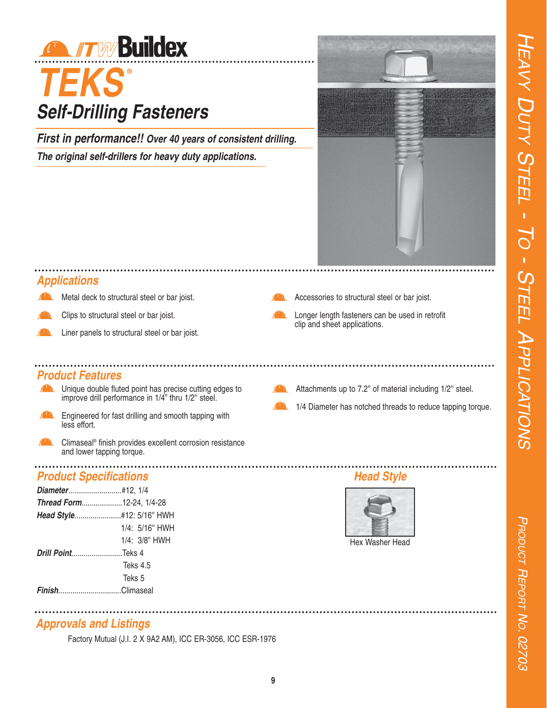

## *TEKS* **®** *Self-Drilling Fasteners*

*First in performance!! Over 40 years of consistent drilling. The original self-drillers for heavy duty applications.*



### *Applications*

- Metal deck to structural steel or bar joist.
- Clips to structural steel or bar joist.
- Liner panels to structural steel or bar joist.

#### *Product Features*

- **The Unique double fluted point has precise cutting edges to** improve drill performance in 1/4" thru 1/2" steel.
- $\sqrt{1}$ Engineered for fast drilling and smooth tapping with less effort.
- Climaseal® finish provides excellent corrosion resistance and lower tapping torque.

### *Product Specifications*

| Diameter#12, 1/4                |                     |
|---------------------------------|---------------------|
| <b>Thread Form12-24, 1/4-28</b> |                     |
|                                 |                     |
|                                 | 1/4: 5/16" HWH      |
|                                 | $1/4$ : $3/8$ " HWH |
| <b>Drill PointTeks 4</b>        |                     |
|                                 | Teks 4.5            |
|                                 | Teks 5              |
| FinishClimaseal                 |                     |
|                                 |                     |



Factory Mutual (J.I. 2 X 9A2 AM), ICC ER-3056, ICC ESR-1976

- 
- Accessories to structural steel or bar joist.
	- Longer length fasteners can be used in retrofit clip and sheet applications.
	- Attachments up to 7.2'' of material including 1/2'' steel.
	- 1/4 Diameter has notched threads to reduce tapping torque.

## *Head Style*



Hex Washer Head